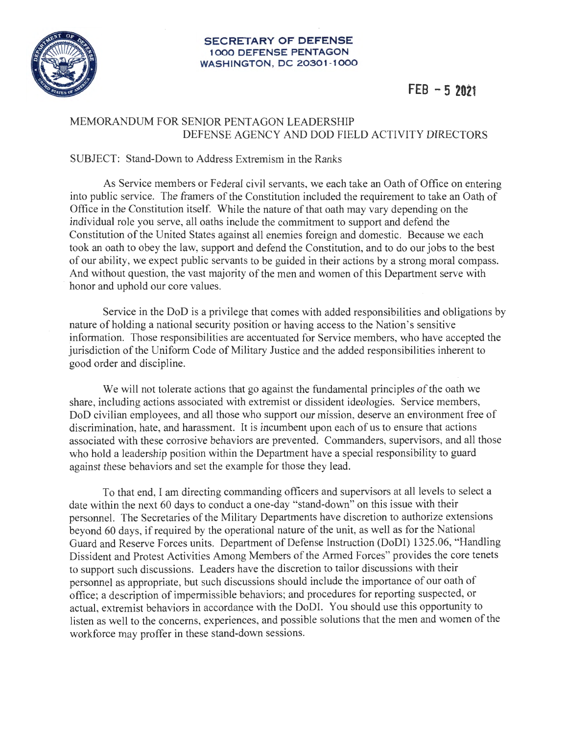

## **SECRETARY OF DEFENSE 1000 DEFENSE PENTAGON WASHINGTON , DC 20301-1000**

## **FEB - 5 2021**

## MEMORANDUM FOR SENIOR PENTAGON LEADERSHIP DEFENSE AGENCY AND DOD FIELD ACTIVITY DIRECTORS

## SUBJECT: Stand-Down to Address Extremism in the Ranks

As Service members or Federal civil servants, we each take an Oath of Office on entering into public service. The framers of the Constitution included the requirement to take an Oath of Office in the Constitution itself. While the nature of that oath may vary depending on the individual role you serve, all oaths include the commitment to support and defend the Constitution of the United States against all enemies foreign and domestic. Because we each took an oath to obey the law, support and defend the Constitution, and to do our jobs to the best of our ability, we expect public servants to be guided in their actions by a strong moral compass. And without question, the vast majority of the men and women of this Department serve with honor and uphold our core values.

Service in the DoD is a privilege that comes with added responsibilities and obligations by nature of holding a national security position or having access to the Nation's sensitive information. Those responsibilities are accentuated for Service members, who have accepted the jurisdiction of the Uniform Code of Military Justice and the added responsibilities inherent to good order and discipline.

We will not tolerate actions that go against the fundamental principles of the oath we share, including actions associated with extremist or dissident ideologies. Service members, DoD civilian employees, and all those who support our mission, deserve an environment free of discrimination, hate, and harassment. It is incumbent upon each of us to ensure that actions associated with these corrosive behaviors are prevented. Commanders, supervisors, and all those who hold a leadership position within the Department have a special responsibility to guard against these behaviors and set the example for those they lead.

To that end, I am directing commanding officers and supervisors at all levels to select a date within the next 60 days to conduct a one-day "stand-down" on this issue with their personnel. The Secretaries of the Military Departments have discretion to authorize extensions beyond 60 days, if required by the operational nature of the unit, as well as for the National Guard and Reserve Forces units. Department of Defense Instruction (DoDI) 1325.06, "Handling Dissident and Protest Activities Among Members of the Armed Forces" provides the core tenets to support such discussions. Leaders have the discretion to tailor discussions with their personnel as appropriate, but such discussions should include the importance of our oath of office; a description of impermissible behaviors; and procedures for reporting suspected, or actual, extremist behaviors in accordance with the DoDI. You should use this opportunity to listen as well to the concerns, experiences, and possible solutions that the men and women of the workforce may proffer in these stand-down sessions.